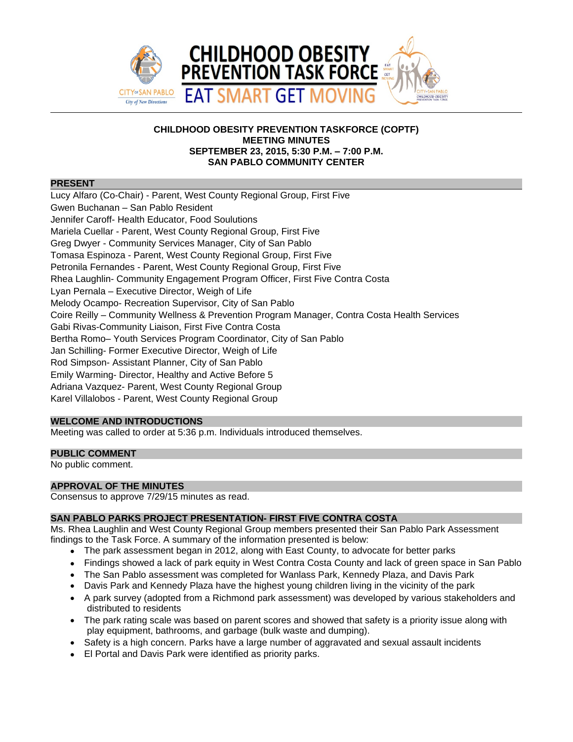

### **CHILDHOOD OBESITY PREVENTION TASKFORCE (COPTF) MEETING MINUTES SEPTEMBER 23, 2015, 5:30 P.M. – 7:00 P.M. SAN PABLO COMMUNITY CENTER**

### **PRESENT**

Lucy Alfaro (Co-Chair) - Parent, West County Regional Group, First Five Gwen Buchanan – San Pablo Resident Jennifer Caroff- Health Educator, Food Soulutions Mariela Cuellar - Parent, West County Regional Group, First Five Greg Dwyer - Community Services Manager, City of San Pablo Tomasa Espinoza - Parent, West County Regional Group, First Five Petronila Fernandes - Parent, West County Regional Group, First Five Rhea Laughlin- Community Engagement Program Officer, First Five Contra Costa Lyan Pernala – Executive Director, Weigh of Life Melody Ocampo- Recreation Supervisor, City of San Pablo Coire Reilly – Community Wellness & Prevention Program Manager, Contra Costa Health Services Gabi Rivas-Community Liaison, First Five Contra Costa Bertha Romo– Youth Services Program Coordinator, City of San Pablo Jan Schilling- Former Executive Director, Weigh of Life Rod Simpson- Assistant Planner, City of San Pablo Emily Warming- Director, Healthy and Active Before 5 Adriana Vazquez- Parent, West County Regional Group Karel Villalobos - Parent, West County Regional Group

### **WELCOME AND INTRODUCTIONS**

Meeting was called to order at 5:36 p.m. Individuals introduced themselves.

### **PUBLIC COMMENT**

No public comment.

# **APPROVAL OF THE MINUTES**

Consensus to approve 7/29/15 minutes as read.

# **SAN PABLO PARKS PROJECT PRESENTATION- FIRST FIVE CONTRA COSTA**

Ms. Rhea Laughlin and West County Regional Group members presented their San Pablo Park Assessment findings to the Task Force. A summary of the information presented is below:

- The park assessment began in 2012, along with East County, to advocate for better parks
- Findings showed a lack of park equity in West Contra Costa County and lack of green space in San Pablo
- The San Pablo assessment was completed for Wanlass Park, Kennedy Plaza, and Davis Park
- Davis Park and Kennedy Plaza have the highest young children living in the vicinity of the park
- A park survey (adopted from a Richmond park assessment) was developed by various stakeholders and distributed to residents
- The park rating scale was based on parent scores and showed that safety is a priority issue along with play equipment, bathrooms, and garbage (bulk waste and dumping).
- Safety is a high concern. Parks have a large number of aggravated and sexual assault incidents
- El Portal and Davis Park were identified as priority parks.